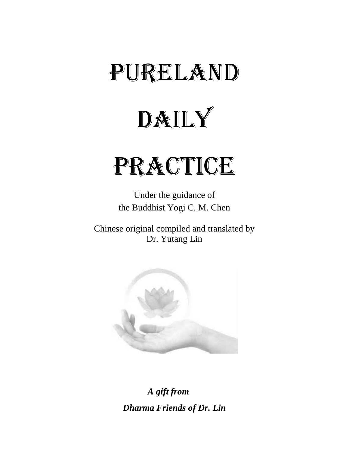# PURELAND

# DAILY

# PRACTICE

Under the guidance of the Buddhist Yogi C. M. Chen

Chinese original compiled and translated by Dr. Yutang Lin



*A gift from Dharma Friends of Dr. Lin*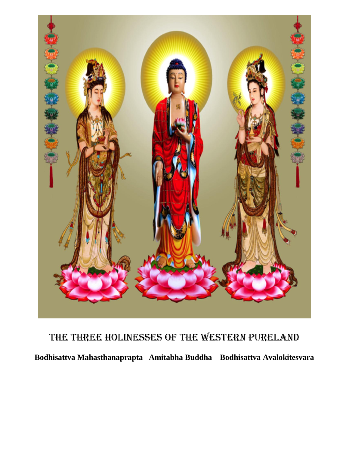

# The Three Holinesses of the Western Pureland

**Bodhisattva Mahasthanaprapta Amitabha Buddha Bodhisattva Avalokitesvara**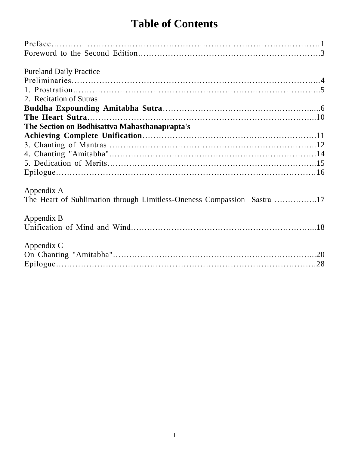# **Table of Contents**

| <b>Pureland Daily Practice</b>                |  |
|-----------------------------------------------|--|
|                                               |  |
|                                               |  |
|                                               |  |
| 2. Recitation of Sutras                       |  |
|                                               |  |
|                                               |  |
| The Section on Bodhisattva Mahasthanaprapta's |  |
|                                               |  |
|                                               |  |
|                                               |  |
|                                               |  |
|                                               |  |
|                                               |  |
|                                               |  |
| Appendix A                                    |  |
|                                               |  |
|                                               |  |
| Appendix B                                    |  |
|                                               |  |
|                                               |  |
| Appendix C                                    |  |
|                                               |  |
|                                               |  |
|                                               |  |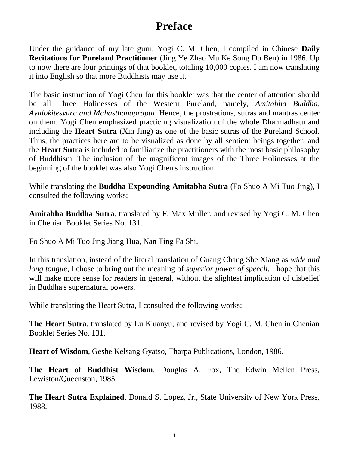## **Preface**

Under the guidance of my late guru, Yogi C. M. Chen, I compiled in Chinese **Daily Recitations for Pureland Practitioner** (Jing Ye Zhao Mu Ke Song Du Ben) in 1986. Up to now there are four printings of that booklet, totaling 10,000 copies. I am now translating it into English so that more Buddhists may use it.

The basic instruction of Yogi Chen for this booklet was that the center of attention should be all Three Holinesses of the Western Pureland, namely, *Amitabha Buddha, Avalokitesvara and Mahasthanaprapta*. Hence, the prostrations, sutras and mantras center on them. Yogi Chen emphasized practicing visualization of the whole Dharmadhatu and including the **Heart Sutra** (Xin Jing) as one of the basic sutras of the Pureland School. Thus, the practices here are to be visualized as done by all sentient beings together; and the **Heart Sutra** is included to familiarize the practitioners with the most basic philosophy of Buddhism. The inclusion of the magnificent images of the Three Holinesses at the beginning of the booklet was also Yogi Chen's instruction.

While translating the **Buddha Expounding Amitabha Sutra** (Fo Shuo A Mi Tuo Jing), I consulted the following works:

**Amitabha Buddha Sutra**, translated by F. Max Muller, and revised by Yogi C. M. Chen in Chenian Booklet Series No. 131.

Fo Shuo A Mi Tuo Jing Jiang Hua, Nan Ting Fa Shi.

In this translation, instead of the literal translation of Guang Chang She Xiang as *wide and long tongue*, I chose to bring out the meaning of *superior power of speech*. I hope that this will make more sense for readers in general, without the slightest implication of disbelief in Buddha's supernatural powers.

While translating the Heart Sutra, I consulted the following works:

**The Heart Sutra**, translated by Lu K'uanyu, and revised by Yogi C. M. Chen in Chenian Booklet Series No. 131.

**Heart of Wisdom**, Geshe Kelsang Gyatso, Tharpa Publications, London, 1986.

**The Heart of Buddhist Wisdom**, Douglas A. Fox, The Edwin Mellen Press, Lewiston/Queenston, 1985.

**The Heart Sutra Explained**, Donald S. Lopez, Jr., State University of New York Press, 1988.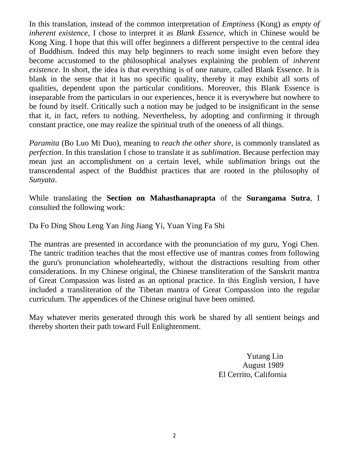In this translation, instead of the common interpretation of *Emptiness* (Kong) as *empty of inherent existence*, I chose to interpret it as *Blank Essence*, which in Chinese would be Kong Xing. I hope that this will offer beginners a different perspective to the central idea of Buddhism. Indeed this may help beginners to reach some insight even before they become accustomed to the philosophical analyses explaining the problem of *inherent existence*. In short, the idea is that everything is of one nature, called Blank Essence. It is blank in the sense that it has no specific quality, thereby it may exhibit all sorts of qualities, dependent upon the particular conditions. Moreover, this Blank Essence is inseparable from the particulars in our experiences, hence it is everywhere but nowhere to be found by itself. Critically such a notion may be judged to be insignificant in the sense that it, in fact, refers to nothing. Nevertheless, by adopting and confirming it through constant practice, one may realize the spiritual truth of the oneness of all things.

*Paramita* (Bo Luo Mi Duo), meaning to *reach the other shore*, is commonly translated as *perfection*. In this translation I chose to translate it as *sublimation*. Because perfection may mean just an accomplishment on a certain level, while *sublimation* brings out the transcendental aspect of the Buddhist practices that are rooted in the philosophy of *Sunyata*.

While translating the **Section on Mahasthanaprapta** of the **Surangama Sutra**, I consulted the following work:

Da Fo Ding Shou Leng Yan Jing Jiang Yi, Yuan Ying Fa Shi

The mantras are presented in accordance with the pronunciation of my guru, Yogi Chen. The tantric tradition teaches that the most effective use of mantras comes from following the guru's pronunciation wholeheartedly, without the distractions resulting from other considerations. In my Chinese original, the Chinese transliteration of the Sanskrit mantra of Great Compassion was listed as an optional practice. In this English version, I have included a transliteration of the Tibetan mantra of Great Compassion into the regular curriculum. The appendices of the Chinese original have been omitted.

May whatever merits generated through this work be shared by all sentient beings and thereby shorten their path toward Full Enlightenment.

> Yutang Lin August 1989 El Cerrito, California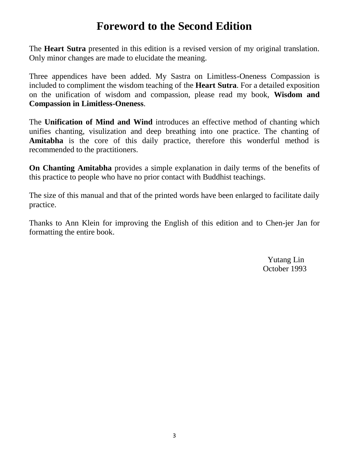## **Foreword to the Second Edition**

The **Heart Sutra** presented in this edition is a revised version of my original translation. Only minor changes are made to elucidate the meaning.

Three appendices have been added. My Sastra on Limitless-Oneness Compassion is included to compliment the wisdom teaching of the **Heart Sutra**. For a detailed exposition on the unification of wisdom and compassion, please read my book, **Wisdom and Compassion in Limitless-Oneness**.

The **Unification of Mind and Wind** introduces an effective method of chanting which unifies chanting, visulization and deep breathing into one practice. The chanting of **Amitabha** is the core of this daily practice, therefore this wonderful method is recommended to the practitioners.

**On Chanting Amitabha** provides a simple explanation in daily terms of the benefits of this practice to people who have no prior contact with Buddhist teachings.

The size of this manual and that of the printed words have been enlarged to facilitate daily practice.

Thanks to Ann Klein for improving the English of this edition and to Chen-jer Jan for formatting the entire book.

> Yutang Lin October 1993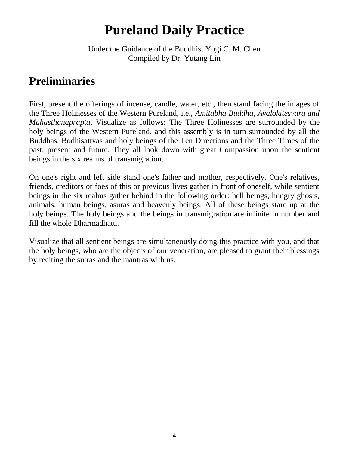# **Pureland Daily Practice**

Under the Guidance of the Buddhist Yogi C. M. Chen Compiled by Dr. Yutang Lin

# **Preliminaries**

First, present the offerings of incense, candle, water, etc., then stand facing the images of the Three Holinesses of the Western Pureland, i.e., *Amitabha Buddha, Avalokitesvara and Mahasthanaprapta*. Visualize as follows: The Three Holinesses are surrounded by the holy beings of the Western Pureland, and this assembly is in turn surrounded by all the Buddhas, Bodhisattvas and holy beings of the Ten Directions and the Three Times of the past, present and future. They all look down with great Compassion upon the sentient beings in the six realms of transmigration.

On one's right and left side stand one's father and mother, respectively. One's relatives, friends, creditors or foes of this or previous lives gather in front of oneself, while sentient beings in the six realms gather behind in the following order: hell beings, hungry ghosts, animals, human beings, asuras and heavenly beings. All of these beings stare up at the holy beings. The holy beings and the beings in transmigration are infinite in number and fill the whole Dharmadhatu.

Visualize that all sentient beings are simultaneously doing this practice with you, and that the holy beings, who are the objects of our veneration, are pleased to grant their blessings by reciting the sutras and the mantras with us.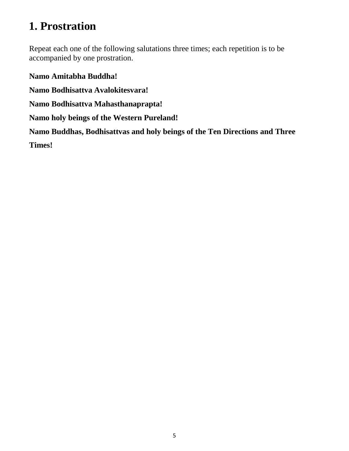# **1. Prostration**

Repeat each one of the following salutations three times; each repetition is to be accompanied by one prostration.

**Namo Amitabha Buddha!** 

**Namo Bodhisattva Avalokitesvara!** 

**Namo Bodhisattva Mahasthanaprapta!**

**Namo holy beings of the Western Pureland!**

**Namo Buddhas, Bodhisattvas and holy beings of the Ten Directions and Three Times!**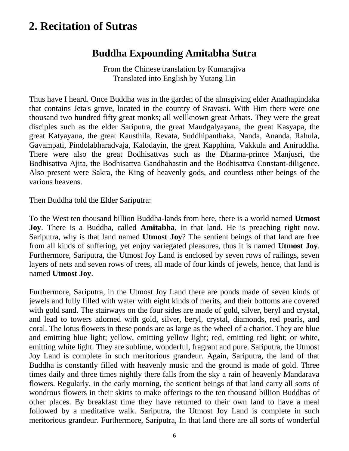## **2. Recitation of Sutras**

#### **Buddha Expounding Amitabha Sutra**

From the Chinese translation by Kumarajiva Translated into English by Yutang Lin

Thus have I heard. Once Buddha was in the garden of the almsgiving elder Anathapindaka that contains Jeta's grove, located in the country of Sravasti. With Him there were one thousand two hundred fifty great monks; all wellknown great Arhats. They were the great disciples such as the elder Sariputra, the great Maudgalyayana, the great Kasyapa, the great Katyayana, the great Kausthila, Revata, Suddhipanthaka, Nanda, Ananda, Rahula, Gavampati, Pindolabharadvaja, Kalodayin, the great Kapphina, Vakkula and Aniruddha. There were also the great Bodhisattvas such as the Dharma-prince Manjusri, the Bodhisattva Ajita, the Bodhisattva Gandhahastin and the Bodhisattva Constant-diligence. Also present were Sakra, the King of heavenly gods, and countless other beings of the various heavens.

Then Buddha told the Elder Sariputra:

To the West ten thousand billion Buddha-lands from here, there is a world named **Utmost Joy**. There is a Buddha, called **Amitabha**, in that land. He is preaching right now. Sariputra, why is that land named **Utmost Joy**? The sentient beings of that land are free from all kinds of suffering, yet enjoy variegated pleasures, thus it is named **Utmost Joy**. Furthermore, Sariputra, the Utmost Joy Land is enclosed by seven rows of railings, seven layers of nets and seven rows of trees, all made of four kinds of jewels, hence, that land is named **Utmost Joy**.

Furthermore, Sariputra, in the Utmost Joy Land there are ponds made of seven kinds of jewels and fully filled with water with eight kinds of merits, and their bottoms are covered with gold sand. The stairways on the four sides are made of gold, silver, beryl and crystal, and lead to towers adorned with gold, silver, beryl, crystal, diamonds, red pearls, and coral. The lotus flowers in these ponds are as large as the wheel of a chariot. They are blue and emitting blue light; yellow, emitting yellow light; red, emitting red light; or white, emitting white light. They are sublime, wonderful, fragrant and pure. Sariputra, the Utmost Joy Land is complete in such meritorious grandeur. Again, Sariputra, the land of that Buddha is constantly filled with heavenly music and the ground is made of gold. Three times daily and three times nightly there falls from the sky a rain of heavenly Mandarava flowers. Regularly, in the early morning, the sentient beings of that land carry all sorts of wondrous flowers in their skirts to make offerings to the ten thousand billion Buddhas of other places. By breakfast time they have returned to their own land to have a meal followed by a meditative walk. Sariputra, the Utmost Joy Land is complete in such meritorious grandeur. Furthermore, Sariputra, In that land there are all sorts of wonderful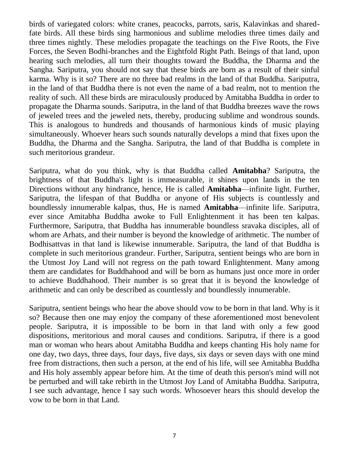birds of variegated colors: white cranes, peacocks, parrots, saris, Kalavinkas and sharedfate birds. All these birds sing harmonious and sublime melodies three times daily and three times nightly. These melodies propagate the teachings on the Five Roots, the Five Forces, the Seven Bodhi-branches and the Eightfold Right Path. Beings of that land, upon hearing such melodies, all turn their thoughts toward the Buddha, the Dharma and the Sangha. Sariputra, you should not say that these birds are born as a result of their sinful karma. Why is it so? There are no three bad realms in the land of that Buddha. Sariputra, in the land of that Buddha there is not even the name of a bad realm, not to mention the reality of such. All these birds are miraculously produced by Amitabha Buddha in order to propagate the Dharma sounds. Sariputra, in the land of that Buddha breezes wave the rows of jeweled trees and the jeweled nets, thereby, producing sublime and wondrous sounds. This is analogous to hundreds and thousands of harmonious kinds of music playing simultaneously. Whoever hears such sounds naturally develops a mind that fixes upon the Buddha, the Dharma and the Sangha. Sariputra, the land of that Buddha is complete in such meritorious grandeur.

Sariputra, what do you think, why is that Buddha called **Amitabha**? Sariputra, the brightness of that Buddha's light is immeasurable, it shines upon lands in the ten Directions without any hindrance, hence, He is called **Amitabha**—infinite light. Further, Sariputra, the lifespan of that Buddha or anyone of His subjects is countlessly and boundlessly innumerable kalpas, thus, He is named **Amitabha**—infinite life. Sariputra, ever since Amitabha Buddha awoke to Full Enlightenment it has been ten kalpas. Furthermore, Sariputra, that Buddha has innumerable boundless sravaka disciples, all of whom are Arhats, and their number is beyond the knowledge of arithmetic. The number of Bodhisattvas in that land is likewise innumerable. Sariputra, the land of that Buddha is complete in such meritorious grandeur. Further, Sariputra, sentient beings who are born in the Utmost Joy Land will not regress on the path toward Enlightenment. Many among them are candidates for Buddhahood and will be born as humans just once more in order to achieve Buddhahood. Their number is so great that it is beyond the knowledge of arithmetic and can only be described as countlessly and boundlessly innumerable.

Sariputra, sentient beings who hear the above should vow to be born in that land. Why is it so? Because then one may enjoy the company of these aforementioned most benevolent people. Sariputra, it is impossible to be born in that land with only a few good dispositions, meritorious and moral causes and conditions. Sariputra, if there is a good man or woman who hears about Amitabha Buddha and keeps chanting His holy name for one day, two days, three days, four days, five days, six days or seven days with one mind free from distractions, then such a person, at the end of his life, will see Amitabha Buddha and His holy assembly appear before him. At the time of death this person's mind will not be perturbed and will take rebirth in the Utmost Joy Land of Amitabha Buddha. Sariputra, I see such advantage, hence I say such words. Whosoever hears this should develop the vow to be born in that Land.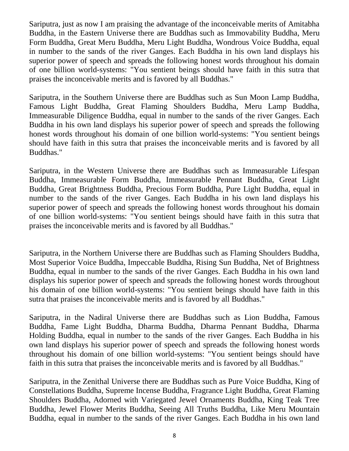Sariputra, just as now I am praising the advantage of the inconceivable merits of Amitabha Buddha, in the Eastern Universe there are Buddhas such as Immovability Buddha, Meru Form Buddha, Great Meru Buddha, Meru Light Buddha, Wondrous Voice Buddha, equal in number to the sands of the river Ganges. Each Buddha in his own land displays his superior power of speech and spreads the following honest words throughout his domain of one billion world-systems: "You sentient beings should have faith in this sutra that praises the inconceivable merits and is favored by all Buddhas."

Sariputra, in the Southern Universe there are Buddhas such as Sun Moon Lamp Buddha, Famous Light Buddha, Great Flaming Shoulders Buddha, Meru Lamp Buddha, Immeasurable Diligence Buddha, equal in number to the sands of the river Ganges. Each Buddha in his own land displays his superior power of speech and spreads the following honest words throughout his domain of one billion world-systems: "You sentient beings should have faith in this sutra that praises the inconceivable merits and is favored by all Buddhas."

Sariputra, in the Western Universe there are Buddhas such as Immeasurable Lifespan Buddha, Immeasurable Form Buddha, Immeasurable Pennant Buddha, Great Light Buddha, Great Brightness Buddha, Precious Form Buddha, Pure Light Buddha, equal in number to the sands of the river Ganges. Each Buddha in his own land displays his superior power of speech and spreads the following honest words throughout his domain of one billion world-systems: "You sentient beings should have faith in this sutra that praises the inconceivable merits and is favored by all Buddhas."

Sariputra, in the Northern Universe there are Buddhas such as Flaming Shoulders Buddha, Most Superior Voice Buddha, Impeccable Buddha, Rising Sun Buddha, Net of Brightness Buddha, equal in number to the sands of the river Ganges. Each Buddha in his own land displays his superior power of speech and spreads the following honest words throughout his domain of one billion world-systems: "You sentient beings should have faith in this sutra that praises the inconceivable merits and is favored by all Buddhas."

Sariputra, in the Nadiral Universe there are Buddhas such as Lion Buddha, Famous Buddha, Fame Light Buddha, Dharma Buddha, Dharma Pennant Buddha, Dharma Holding Buddha, equal in number to the sands of the river Ganges. Each Buddha in his own land displays his superior power of speech and spreads the following honest words throughout his domain of one billion world-systems: "You sentient beings should have faith in this sutra that praises the inconceivable merits and is favored by all Buddhas."

Sariputra, in the Zenithal Universe there are Buddhas such as Pure Voice Buddha, King of Constellations Buddha, Supreme Incense Buddha, Fragrance Light Buddha, Great Flaming Shoulders Buddha, Adorned with Variegated Jewel Ornaments Buddha, King Teak Tree Buddha, Jewel Flower Merits Buddha, Seeing All Truths Buddha, Like Meru Mountain Buddha, equal in number to the sands of the river Ganges. Each Buddha in his own land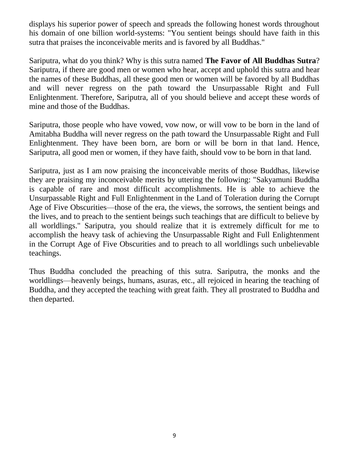displays his superior power of speech and spreads the following honest words throughout his domain of one billion world-systems: "You sentient beings should have faith in this sutra that praises the inconceivable merits and is favored by all Buddhas."

Sariputra, what do you think? Why is this sutra named **The Favor of All Buddhas Sutra**? Sariputra, if there are good men or women who hear, accept and uphold this sutra and hear the names of these Buddhas, all these good men or women will be favored by all Buddhas and will never regress on the path toward the Unsurpassable Right and Full Enlightenment. Therefore, Sariputra, all of you should believe and accept these words of mine and those of the Buddhas.

Sariputra, those people who have vowed, vow now, or will vow to be born in the land of Amitabha Buddha will never regress on the path toward the Unsurpassable Right and Full Enlightenment. They have been born, are born or will be born in that land. Hence, Sariputra, all good men or women, if they have faith, should vow to be born in that land.

Sariputra, just as I am now praising the inconceivable merits of those Buddhas, likewise they are praising my inconceivable merits by uttering the following: "Sakyamuni Buddha is capable of rare and most difficult accomplishments. He is able to achieve the Unsurpassable Right and Full Enlightenment in the Land of Toleration during the Corrupt Age of Five Obscurities—those of the era, the views, the sorrows, the sentient beings and the lives, and to preach to the sentient beings such teachings that are difficult to believe by all worldlings." Sariputra, you should realize that it is extremely difficult for me to accomplish the heavy task of achieving the Unsurpassable Right and Full Enlightenment in the Corrupt Age of Five Obscurities and to preach to all worldlings such unbelievable teachings.

Thus Buddha concluded the preaching of this sutra. Sariputra, the monks and the worldlings—heavenly beings, humans, asuras, etc., all rejoiced in hearing the teaching of Buddha, and they accepted the teaching with great faith. They all prostrated to Buddha and then departed.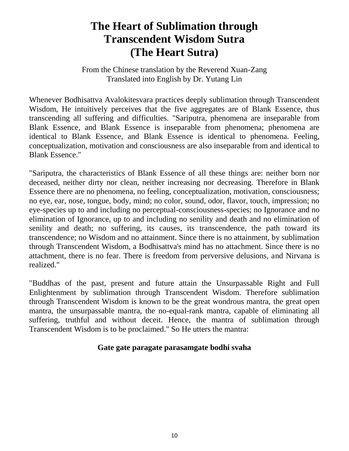## **The Heart of Sublimation through Transcendent Wisdom Sutra (The Heart Sutra)**

From the Chinese translation by the Reverend Xuan-Zang Translated into English by Dr. Yutang Lin

Whenever Bodhisattva Avalokitesvara practices deeply sublimation through Transcendent Wisdom, He intuitively perceives that the five aggregates are of Blank Essence, thus transcending all suffering and difficulties. "Sariputra, phenomena are inseparable from Blank Essence, and Blank Essence is inseparable from phenomena; phenomena are identical to Blank Essence, and Blank Essence is identical to phenomena. Feeling, conceptualization, motivation and consciousness are also inseparable from and identical to Blank Essence."

"Sariputra, the characteristics of Blank Essence of all these things are: neither born nor deceased, neither dirty nor clean, neither increasing nor decreasing. Therefore in Blank Essence there are no phenomena, no feeling, conceptualization, motivation, consciousness; no eye, ear, nose, tongue, body, mind; no color, sound, odor, flavor, touch, impression; no eye-species up to and including no perceptual-consciousness-species; no Ignorance and no elimination of Ignorance, up to and including no senility and death and no elimination of senility and death; no suffering, its causes, its transcendence, the path toward its transcendence; no Wisdom and no attainment. Since there is no attainment, by sublimation through Transcendent Wisdom, a Bodhisattva's mind has no attachment. Since there is no attachment, there is no fear. There is freedom from perversive delusions, and Nirvana is realized."

"Buddhas of the past, present and future attain the Unsurpassable Right and Full Enlightenment by sublimation through Transcendent Wisdom. Therefore sublimation through Transcendent Wisdom is known to be the great wondrous mantra, the great open mantra, the unsurpassable mantra, the no-equal-rank mantra, capable of eliminating all suffering, truthful and without deceit. Hence, the mantra of sublimation through Transcendent Wisdom is to be proclaimed." So He utters the mantra:

#### **Gate gate paragate parasamgate bodhi svaha**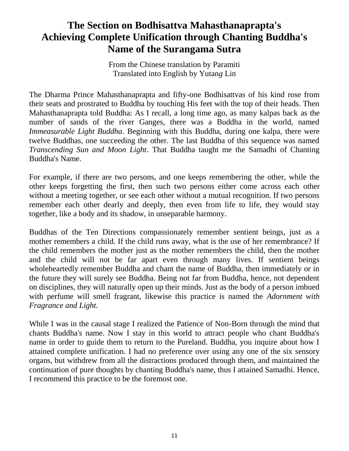#### **The Section on Bodhisattva Mahasthanaprapta's Achieving Complete Unification through Chanting Buddha's Name of the Surangama Sutra**

From the Chinese translation by Paramiti Translated into English by Yutan*g* Lin

The Dharma Prince Mahasthanaprapta and fifty-one Bodhisattvas of his kind rose from their seats and prostrated to Buddha by touching His feet with the top of their heads. Then Mahasthanaprapta told Buddha: As I recall, a long time ago, as many kalpas back as the number of sands of the river Ganges, there was a Buddha in the world, named *Immeasurable Light Buddha*. Beginning with this Buddha, during one kalpa, there were twelve Buddhas, one succeeding the other. The last Buddha of this sequence was named *Transcending Sun and Moon Light*. That Buddha taught me the Samadhi of Chanting Buddha's Name.

For example, if there are two persons, and one keeps remembering the other, while the other keeps forgetting the first, then such two persons either come across each other without a meeting together, or see each other without a mutual recognition. If two persons remember each other dearly and deeply, then even from life to life, they would stay together, like a body and its shadow, in unseparable harmony.

Buddhas of the Ten Directions compassionately remember sentient beings, just as a mother remembers a child. If the child runs away, what is the use of her remembrance? If the child remembers the mother just as the mother remembers the child, then the mother and the child will not be far apart even through many lives. If sentient beings wholeheartedly remember Buddha and chant the name of Buddha, then immediately or in the future they will surely see Buddha. Being not far from Buddha, hence, not dependent on disciplines, they will naturally open up their minds. Just as the body of a person imbued with perfume will smell fragrant, likewise this practice is named the *Adornment with Fragrance and Light.*

While I was in the causal stage I realized the Patience of Non-Born through the mind that chants Buddha's name. Now I stay in this world to attract people who chant Buddha's name in order to guide them to return to the Pureland. Buddha, you inquire about how I attained complete unification. I had no preference over using any one of the six sensory organs, but withdrew from all the distractions produced through them, and maintained the continuation of pure thoughts by chanting Buddha's name, thus I attained Samadhi. Hence, I recommend this practice to be the foremost one.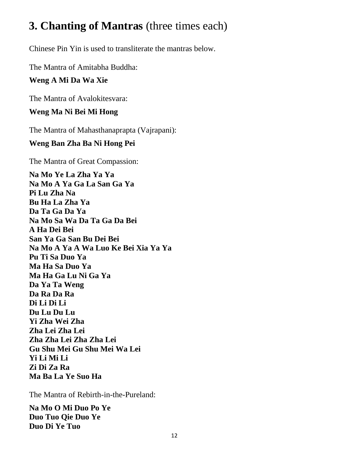# **3. Chanting of Mantras** (three times each)

Chinese Pin Yin is used to transliterate the mantras below.

The Mantra of Amitabha Buddha:

#### **Weng A Mi Da Wa Xie**

The Mantra of Avalokitesvara:

#### **Weng Ma Ni Bei Mi Hong**

The Mantra of Mahasthanaprapta (Vajrapani):

#### **Weng Ban Zha Ba Ni Hong Pei**

The Mantra of Great Compassion:

**Na Mo Ye La Zha Ya Ya Na Mo A Ya Ga La San Ga Ya Pi Lu Zha Na Bu Ha La Zha Ya Da Ta Ga Da Ya Na Mo Sa Wa Da Ta Ga Da Bei A Ha Dei Bei San Ya Ga San Bu Dei Bei Na Mo A Ya A Wa Luo Ke Bei Xia Ya Ya Pu Ti Sa Duo Ya Ma Ha Sa Duo Ya Ma Ha Ga Lu Ni Ga Ya Da Ya Ta Weng Da Ra Da Ra Di Li Di Li Du Lu Du Lu Yi Zha Wei Zha Zha Lei Zha Lei Zha Zha Lei Zha Zha Lei Gu Shu Mei Gu Shu Mei Wa Lei Yi Li Mi Li Zi Di Za Ra Ma Ba La Ye Suo Ha**

The Mantra of Rebirth-in-the-Pureland:

**Na Mo O Mi Duo Po Ye Duo Tuo Qie Duo Ye Duo Di Ye Tuo**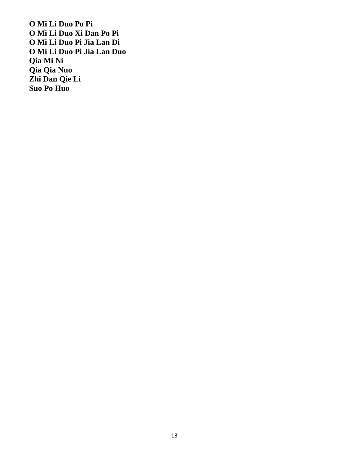**O Mi Li Duo Po Pi O Mi Li Duo Xi Dan Po Pi O Mi Li Duo Pi Jia Lan Di O Mi Li Duo Pi Jia Lan Duo Qia Mi Ni Qia Qia Nuo Zhi Dan Qie Li Suo Po Huo**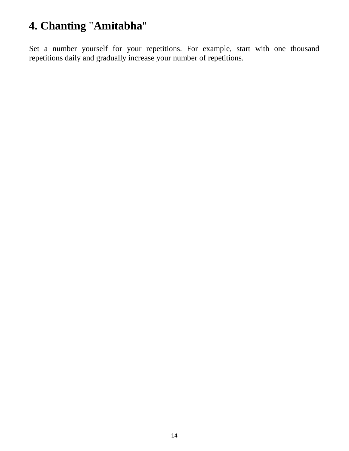# **4. Chanting** "**Amitabha**"

Set a number yourself for your repetitions. For example, start with one thousand repetitions daily and gradually increase your number of repetitions.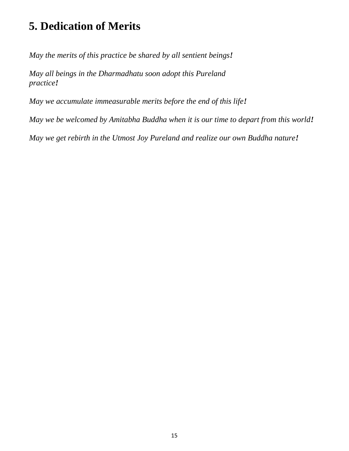# **5. Dedication of Merits**

*May the merits of this practice be shared by all sentient beings!*

*May all beings in the Dharmadhatu soon adopt this Pureland practice!*

*May we accumulate immeasurable merits before the end of this life!*

*May we be welcomed by Amitabha Buddha when it is our time to depart from this world!*

*May we get rebirth in the Utmost Joy Pureland and realize our own Buddha nature!*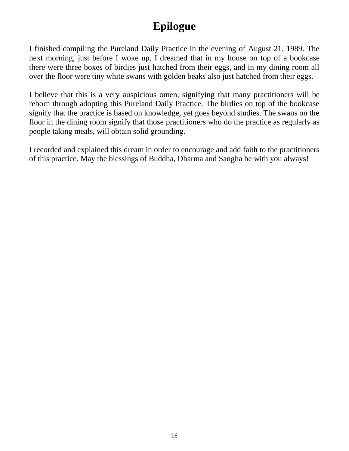# **Epilogue**

I finished compiling the Pureland Daily Practice in the evening of August 21, 1989. The next morning, just before I woke up, I dreamed that in my house on top of a bookcase there were three boxes of birdies just hatched from their eggs, and in my dining room all over the floor were tiny white swans with golden beaks also just hatched from their eggs.

I believe that this is a very auspicious omen, signifying that many practitioners will be reborn through adopting this Pureland Daily Practice. The birdies on top of the bookcase signify that the practice is based on knowledge, yet goes beyond studies. The swans on the floor in the dining room signify that those practitioners who do the practice as regularly as people taking meals, will obtain solid grounding.

I recorded and explained this dream in order to encourage and add faith to the practitioners of this practice. May the blessings of Buddha, Dharma and Sangha be with you always!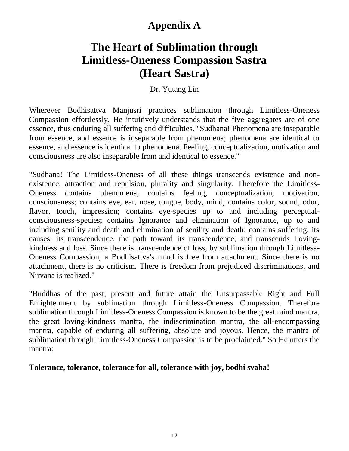### **Appendix A**

# **The Heart of Sublimation through Limitless-Oneness Compassion Sastra (Heart Sastra)**

#### Dr. Yutang Lin

Wherever Bodhisattva Manjusri practices sublimation through Limitless-Oneness Compassion effortlessly, He intuitively understands that the five aggregates are of one essence, thus enduring all suffering and difficulties. "Sudhana! Phenomena are inseparable from essence, and essence is inseparable from phenomena; phenomena are identical to essence, and essence is identical to phenomena. Feeling, conceptualization, motivation and consciousness are also inseparable from and identical to essence."

"Sudhana! The Limitless-Oneness of all these things transcends existence and nonexistence, attraction and repulsion, plurality and singularity. Therefore the Limitless-Oneness contains phenomena, contains feeling, conceptualization, motivation, consciousness; contains eye, ear, nose, tongue, body, mind; contains color, sound, odor, flavor, touch, impression; contains eye-species up to and including perceptualconsciousness-species; contains Ignorance and elimination of Ignorance, up to and including senility and death and elimination of senility and death; contains suffering, its causes, its transcendence, the path toward its transcendence; and transcends Lovingkindness and loss. Since there is transcendence of loss, by sublimation through Limitless-Oneness Compassion, a Bodhisattva's mind is free from attachment. Since there is no attachment, there is no criticism. There is freedom from prejudiced discriminations, and Nirvana is realized."

"Buddhas of the past, present and future attain the Unsurpassable Right and Full Enlightenment by sublimation through Limitless-Oneness Compassion. Therefore sublimation through Limitless-Oneness Compassion is known to be the great mind mantra, the great loving-kindness mantra, the indiscrimination mantra, the all-encompassing mantra, capable of enduring all suffering, absolute and joyous. Hence, the mantra of sublimation through Limitless-Oneness Compassion is to be proclaimed." So He utters the mantra:

#### **Tolerance, tolerance, tolerance for all, tolerance with joy, bodhi svaha!**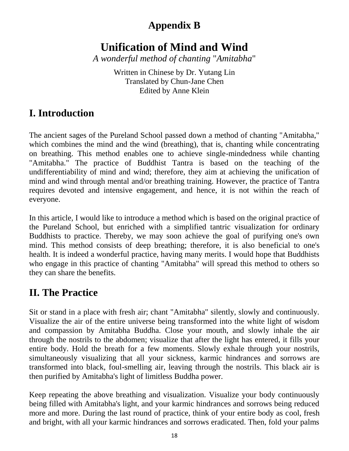### **Appendix B**

# **Unification of Mind and Wind**

*A wonderful method of chanting* "*Amitabha*"

Written in Chinese by Dr. Yutang Lin Translated by Chun-Jane Chen Edited by Anne Klein

### **I. Introduction**

The ancient sages of the Pureland School passed down a method of chanting "Amitabha," which combines the mind and the wind (breathing), that is, chanting while concentrating on breathing. This method enables one to achieve single-mindedness while chanting "Amitabha." The practice of Buddhist Tantra is based on the teaching of the undifferentiability of mind and wind; therefore, they aim at achieving the unification of mind and wind through mental and/or breathing training. However, the practice of Tantra requires devoted and intensive engagement, and hence, it is not within the reach of everyone.

In this article, I would like to introduce a method which is based on the original practice of the Pureland School, but enriched with a simplified tantric visualization for ordinary Buddhists to practice. Thereby, we may soon achieve the goal of purifying one's own mind. This method consists of deep breathing; therefore, it is also beneficial to one's health. It is indeed a wonderful practice, having many merits. I would hope that Buddhists who engage in this practice of chanting "Amitabha" will spread this method to others so they can share the benefits.

#### **II. The Practice**

Sit or stand in a place with fresh air; chant "Amitabha" silently, slowly and continuously. Visualize the air of the entire universe being transformed into the white light of wisdom and compassion by Amitabha Buddha. Close your mouth, and slowly inhale the air through the nostrils to the abdomen; visualize that after the light has entered, it fills your entire body. Hold the breath for a few moments. Slowly exhale through your nostrils, simultaneously visualizing that all your sickness, karmic hindrances and sorrows are transformed into black, foul-smelling air, leaving through the nostrils. This black air is then purified by Amitabha's light of limitless Buddha power.

Keep repeating the above breathing and visualization. Visualize your body continuously being filled with Amitabha's light, and your karmic hindrances and sorrows being reduced more and more. During the last round of practice, think of your entire body as cool, fresh and bright, with all your karmic hindrances and sorrows eradicated. Then, fold your palms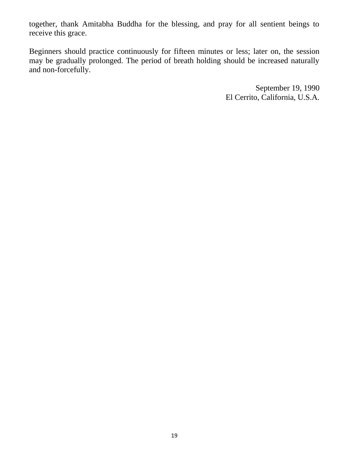together, thank Amitabha Buddha for the blessing, and pray for all sentient beings to receive this grace.

Beginners should practice continuously for fifteen minutes or less; later on, the session may be gradually prolonged. The period of breath holding should be increased naturally and non-forcefully.

> September 19, 1990 El Cerrito, California, U.S.A.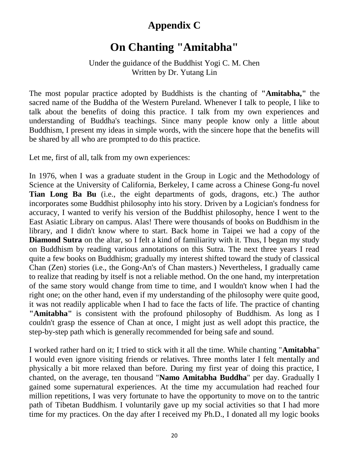#### **Appendix C**

## **On Chanting "Amitabha"**

Under the guidance of the Buddhist Yogi C. M. Chen Written by Dr. Yutang Lin

The most popular practice adopted by Buddhists is the chanting of **"Amitabha,"** the sacred name of the Buddha of the Western Pureland. Whenever I talk to people, I like to talk about the benefits of doing this practice. I talk from my own experiences and understanding of Buddha's teachings. Since many people know only a little about Buddhism, I present my ideas in simple words, with the sincere hope that the benefits will be shared by all who are prompted to do this practice.

Let me, first of all, talk from my own experiences:

In 1976, when I was a graduate student in the Group in Logic and the Methodology of Science at the University of California, Berkeley, I came across a Chinese Gong-fu novel **Tian Long Ba Bu** (i.e., the eight departments of gods, dragons, etc.) The author incorporates some Buddhist philosophy into his story. Driven by a Logician's fondness for accuracy, I wanted to verify his version of the Buddhist philosophy, hence I went to the East Asiatic Library on campus. Alas! There were thousands of books on Buddhism in the library, and I didn't know where to start. Back home in Taipei we had a copy of the **Diamond Sutra** on the altar, so I felt a kind of familiarity with it. Thus, I began my study on Buddhism by reading various annotations on this Sutra. The next three years I read quite a few books on Buddhism; gradually my interest shifted toward the study of classical Chan (Zen) stories (i.e., the Gong-An's of Chan masters.) Nevertheless, I gradually came to realize that reading by itself is not a reliable method. On the one hand, my interpretation of the same story would change from time to time, and I wouldn't know when I had the right one; on the other hand, even if my understanding of the philosophy were quite good, it was not readily applicable when I had to face the facts of life. The practice of chanting **"Amitabha"** is consistent with the profound philosophy of Buddhism. As long as I couldn't grasp the essence of Chan at once, I might just as well adopt this practice, the step-by-step path which is generally recommended for being safe and sound.

I worked rather hard on it; I tried to stick with it all the time. While chanting "**Amitabha**" I would even ignore visiting friends or relatives. Three months later I felt mentally and physically a bit more relaxed than before. During my first year of doing this practice, I chanted, on the average, ten thousand "**Namo Amitabha Buddha**" per day. Gradually I gained some supernatural experiences. At the time my accumulation had reached four million repetitions, I was very fortunate to have the opportunity to move on to the tantric path of Tibetan Buddhism. I voluntarily gave up my social activities so that I had more time for my practices. On the day after I received my Ph.D., I donated all my logic books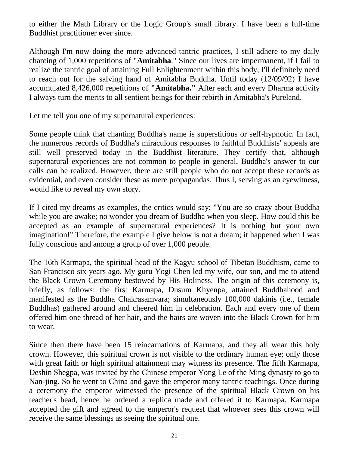to either the Math Library or the Logic Group's small library. I have been a full-time Buddhist practitioner ever since.

Although I'm now doing the more advanced tantric practices, I still adhere to my daily chanting of 1,000 repetitions of "**Amitabha**." Since our lives are impermanent, if I fail to realize the tantric goal of attaining Full Enlightenment within this body, I'll definitely need to reach out for the salving hand of Amitabha Buddha. Until today (12/09/92) I have accumulated 8,426,000 repetitions of **"Amitabha."** After each and every Dharma activity I always turn the merits to all sentient beings for their rebirth in Amitabha's Pureland.

Let me tell you one of my supernatural experiences:

Some people think that chanting Buddha's name is superstitious or self-hypnotic. In fact, the numerous records of Buddha's miraculous responses to faithful Buddhists' appeals are still well preserved today in the Buddhist literature. They certify that, although supernatural experiences are not common to people in general, Buddha's answer to our calls can be realized. However, there are still people who do not accept these records as evidential, and even consider these as mere propagandas. Thus I, serving as an eyewitness, would like to reveal my own story.

If I cited my dreams as examples, the critics would say: "You are so crazy about Buddha while you are awake; no wonder you dream of Buddha when you sleep. How could this be accepted as an example of supernatural experiences? It is nothing but your own imagination!" Therefore, the example I give below is not a dream; it happened when I was fully conscious and among a group of over 1,000 people.

The 16th Karmapa, the spiritual head of the Kagyu school of Tibetan Buddhism, came to San Francisco six years ago. My guru Yogi Chen led my wife, our son, and me to attend the Black Crown Ceremony bestowed by His Holiness. The origin of this ceremony is, briefly, as follows: the first Karmapa, Dusum Khyenpa, attained Buddhahood and manifested as the Buddha Chakrasamvara; simultaneously 100,000 dakinis (i.e., female Buddhas) gathered around and cheered him in celebration. Each and every one of them offered him one thread of her hair, and the hairs are woven into the Black Crown for him to wear.

Since then there have been 15 reincarnations of Karmapa, and they all wear this holy crown. However, this spiritual crown is not visible to the ordinary human eye; only those with great faith or high spiritual attainment may witness its presence. The fifth Karmapa, Deshin Shegpa, was invited by the Chinese emperor Yong Le of the Ming dynasty to go to Nan-jing. So he went to China and gave the emperor many tantric teachings. Once during a ceremony the emperor witnessed the presence of the spiritual Black Crown on his teacher's head, hence he ordered a replica made and offered it to Karmapa. Karmapa accepted the gift and agreed to the emperor's request that whoever sees this crown will receive the same blessings as seeing the spiritual one.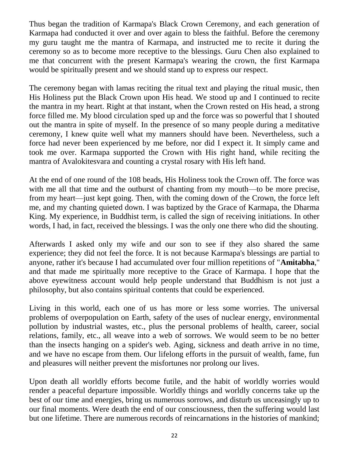Thus began the tradition of Karmapa's Black Crown Ceremony, and each generation of Karmapa had conducted it over and over again to bless the faithful. Before the ceremony my guru taught me the mantra of Karmapa, and instructed me to recite it during the ceremony so as to become more receptive to the blessings. Guru Chen also explained to me that concurrent with the present Karmapa's wearing the crown, the first Karmapa would be spiritually present and we should stand up to express our respect.

The ceremony began with lamas reciting the ritual text and playing the ritual music, then His Holiness put the Black Crown upon His head. We stood up and I continued to recite the mantra in my heart. Right at that instant, when the Crown rested on His head, a strong force filled me. My blood circulation sped up and the force was so powerful that I shouted out the mantra in spite of myself. In the presence of so many people during a meditative ceremony, I knew quite well what my manners should have been. Nevertheless, such a force had never been experienced by me before, nor did I expect it. It simply came and took me over. Karmapa supported the Crown with His right hand, while reciting the mantra of Avalokitesvara and counting a crystal rosary with His left hand.

At the end of one round of the 108 beads, His Holiness took the Crown off. The force was with me all that time and the outburst of chanting from my mouth—to be more precise, from my heart—just kept going. Then, with the coming down of the Crown, the force left me, and my chanting quieted down. I was baptized by the Grace of Karmapa, the Dharma King. My experience, in Buddhist term, is called the sign of receiving initiations. In other words, I had, in fact, received the blessings. I was the only one there who did the shouting.

Afterwards I asked only my wife and our son to see if they also shared the same experience; they did not feel the force. It is not because Karmapa's blessings are partial to anyone, rather it's because I had accumulated over four million repetitions of "**Amitabha**," and that made me spiritually more receptive to the Grace of Karmapa. I hope that the above eyewitness account would help people understand that Buddhism is not just a philosophy, but also contains spiritual contents that could be experienced.

Living in this world, each one of us has more or less some worries. The universal problems of overpopulation on Earth, safety of the uses of nuclear energy, environmental pollution by industrial wastes, etc., plus the personal problems of health, career, social relations, family, etc., all weave into a web of sorrows. We would seem to be no better than the insects hanging on a spider's web. Aging, sickness and death arrive in no time, and we have no escape from them. Our lifelong efforts in the pursuit of wealth, fame, fun and pleasures will neither prevent the misfortunes nor prolong our lives.

Upon death all worldly efforts become futile, and the habit of worldly worries would render a peaceful departure impossible. Worldly things and worldly concerns take up the best of our time and energies, bring us numerous sorrows, and disturb us unceasingly up to our final moments. Were death the end of our consciousness, then the suffering would last but one lifetime. There are numerous records of reincarnations in the histories of mankind;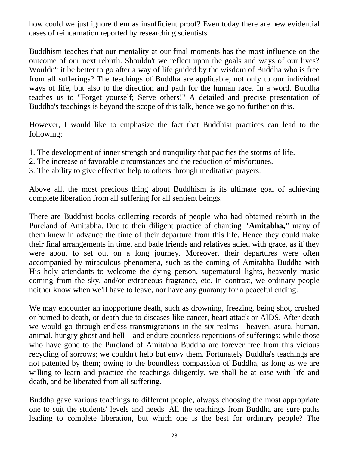how could we just ignore them as insufficient proof? Even today there are new evidential cases of reincarnation reported by researching scientists.

Buddhism teaches that our mentality at our final moments has the most influence on the outcome of our next rebirth. Shouldn't we reflect upon the goals and ways of our lives? Wouldn't it be better to go after a way of life guided by the wisdom of Buddha who is free from all sufferings? The teachings of Buddha are applicable, not only to our individual ways of life, but also to the direction and path for the human race. In a word, Buddha teaches us to "Forget yourself; Serve others!" A detailed and precise presentation of Buddha's teachings is beyond the scope of this talk, hence we go no further on this.

However, I would like to emphasize the fact that Buddhist practices can lead to the following:

- 1. The development of inner strength and tranquility that pacifies the storms of life.
- 2. The increase of favorable circumstances and the reduction of misfortunes.
- 3. The ability to give effective help to others through meditative prayers.

Above all, the most precious thing about Buddhism is its ultimate goal of achieving complete liberation from all suffering for all sentient beings.

There are Buddhist books collecting records of people who had obtained rebirth in the Pureland of Amitabha. Due to their diligent practice of chanting **"Amitabha,"** many of them knew in advance the time of their departure from this life. Hence they could make their final arrangements in time, and bade friends and relatives adieu with grace, as if they were about to set out on a long journey. Moreover, their departures were often accompanied by miraculous phenomena, such as the coming of Amitabha Buddha with His holy attendants to welcome the dying person, supernatural lights, heavenly music coming from the sky, and/or extraneous fragrance, etc. In contrast, we ordinary people neither know when we'll have to leave, nor have any guaranty for a peaceful ending.

We may encounter an inopportune death, such as drowning, freezing, being shot, crushed or burned to death, or death due to diseases like cancer, heart attack or AIDS. After death we would go through endless transmigrations in the six realms—heaven, asura, human, animal, hungry ghost and hell—and endure countless repetitions of sufferings; while those who have gone to the Pureland of Amitabha Buddha are forever free from this vicious recycling of sorrows; we couldn't help but envy them. Fortunately Buddha's teachings are not patented by them; owing to the boundless compassion of Buddha, as long as we are willing to learn and practice the teachings diligently, we shall be at ease with life and death, and be liberated from all suffering.

Buddha gave various teachings to different people, always choosing the most appropriate one to suit the students' levels and needs. All the teachings from Buddha are sure paths leading to complete liberation, but which one is the best for ordinary people? The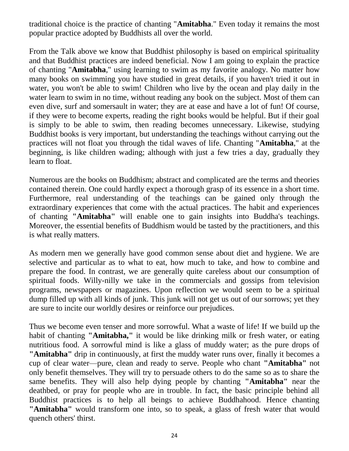traditional choice is the practice of chanting "**Amitabha**." Even today it remains the most popular practice adopted by Buddhists all over the world.

From the Talk above we know that Buddhist philosophy is based on empirical spirituality and that Buddhist practices are indeed beneficial. Now I am going to explain the practice of chanting "**Amitabha**," using learning to swim as my favorite analogy. No matter how many books on swimming you have studied in great details, if you haven't tried it out in water, you won't be able to swim! Children who live by the ocean and play daily in the water learn to swim in no time, without reading any book on the subject. Most of them can even dive, surf and somersault in water; they are at ease and have a lot of fun! Of course, if they were to become experts, reading the right books would be helpful. But if their goal is simply to be able to swim, then reading becomes unnecessary. Likewise, studying Buddhist books is very important, but understanding the teachings without carrying out the practices will not float you through the tidal waves of life. Chanting "**Amitabha**," at the beginning, is like children wading; although with just a few tries a day, gradually they learn to float.

Numerous are the books on Buddhism; abstract and complicated are the terms and theories contained therein. One could hardly expect a thorough grasp of its essence in a short time. Furthermore, real understanding of the teachings can be gained only through the extraordinary experiences that come with the actual practices. The habit and experiences of chanting **"Amitabha"** will enable one to gain insights into Buddha's teachings. Moreover, the essential benefits of Buddhism would be tasted by the practitioners, and this is what really matters.

As modern men we generally have good common sense about diet and hygiene. We are selective and particular as to what to eat, how much to take, and how to combine and prepare the food. In contrast, we are generally quite careless about our consumption of spiritual foods. Willy-nilly we take in the commercials and gossips from television programs, newspapers or magazines. Upon reflection we would seem to be a spiritual dump filled up with all kinds of junk. This junk will not get us out of our sorrows; yet they are sure to incite our worldly desires or reinforce our prejudices.

Thus we become even tenser and more sorrowful. What a waste of life! If we build up the habit of chanting **"Amitabha,"** it would be like drinking milk or fresh water, or eating nutritious food. A sorrowful mind is like a glass of muddy water; as the pure drops of **"Amitabha"** drip in continuously, at first the muddy water runs over, finally it becomes a cup of clear water—pure, clean and ready to serve. People who chant **"Amitabha"** not only benefit themselves. They will try to persuade others to do the same so as to share the same benefits. They will also help dying people by chanting **"Amitabha"** near the deathbed, or pray for people who are in trouble. In fact, the basic principle behind all Buddhist practices is to help all beings to achieve Buddhahood. Hence chanting **"Amitabha"** would transform one into, so to speak, a glass of fresh water that would quench others' thirst.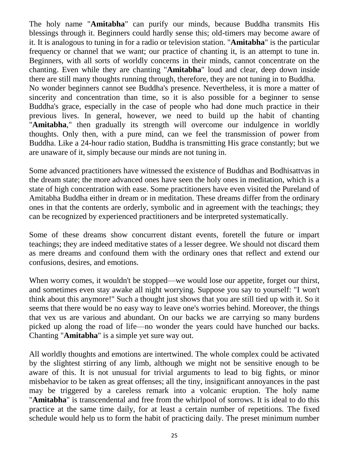The holy name "**Amitabha**" can purify our minds, because Buddha transmits His blessings through it. Beginners could hardly sense this; old-timers may become aware of it. It is analogous to tuning in for a radio or television station. "**Amitabha**" is the particular frequency or channel that we want; our practice of chanting it, is an attempt to tune in. Beginners, with all sorts of worldly concerns in their minds, cannot concentrate on the chanting. Even while they are chanting "**Amitabha**" loud and clear, deep down inside there are still many thoughts running through, therefore, they are not tuning in to Buddha. No wonder beginners cannot see Buddha's presence. Nevertheless, it is more a matter of sincerity and concentration than time, so it is also possible for a beginner to sense Buddha's grace, especially in the case of people who had done much practice in their previous lives. In general, however, we need to build up the habit of chanting "**Amitabha**," then gradually its strength will overcome our indulgence in worldly thoughts. Only then, with a pure mind, can we feel the transmission of power from Buddha. Like a 24-hour radio station, Buddha is transmitting His grace constantly; but we are unaware of it, simply because our minds are not tuning in.

Some advanced practitioners have witnessed the existence of Buddhas and Bodhisattvas in the dream state; the more advanced ones have seen the holy ones in meditation, which is a state of high concentration with ease. Some practitioners have even visited the Pureland of Amitabha Buddha either in dream or in meditation. These dreams differ from the ordinary ones in that the contents are orderly, symbolic and in agreement with the teachings; they can be recognized by experienced practitioners and be interpreted systematically.

Some of these dreams show concurrent distant events, foretell the future or impart teachings; they are indeed meditative states of a lesser degree. We should not discard them as mere dreams and confound them with the ordinary ones that reflect and extend our confusions, desires, and emotions.

When worry comes, it wouldn't be stopped—we would lose our appetite, forget our thirst, and sometimes even stay awake all night worrying. Suppose you say to yourself: "I won't think about this anymore!" Such a thought just shows that you are still tied up with it. So it seems that there would be no easy way to leave one's worries behind. Moreover, the things that vex us are various and abundant. On our backs we are carrying so many burdens picked up along the road of life—no wonder the years could have hunched our backs. Chanting "**Amitabha**" is a simple yet sure way out.

All worldly thoughts and emotions are intertwined. The whole complex could be activated by the slightest stirring of any limb, although we might not be sensitive enough to be aware of this. It is not unusual for trivial arguments to lead to big fights, or minor misbehavior to be taken as great offenses; all the tiny, insignificant annoyances in the past may be triggered by a careless remark into a volcanic eruption. The holy name "**Amitabha**" is transcendental and free from the whirlpool of sorrows. It is ideal to do this practice at the same time daily, for at least a certain number of repetitions. The fixed schedule would help us to form the habit of practicing daily. The preset minimum number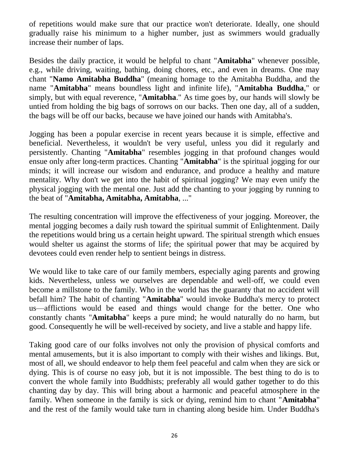of repetitions would make sure that our practice won't deteriorate. Ideally, one should gradually raise his minimum to a higher number, just as swimmers would gradually increase their number of laps.

Besides the daily practice, it would be helpful to chant "**Amitabha**" whenever possible, e.g., while driving, waiting, bathing, doing chores, etc., and even in dreams. One may chant "**Namo Amitabha Buddha**" (meaning homage to the Amitabha Buddha, and the name "**Amitabha**" means boundless light and infinite life), "**Amitabha Buddha**," or simply, but with equal reverence, "**Amitabha**." As time goes by, our hands will slowly be untied from holding the big bags of sorrows on our backs. Then one day, all of a sudden, the bags will be off our backs, because we have joined our hands with Amitabha's.

Jogging has been a popular exercise in recent years because it is simple, effective and beneficial. Nevertheless, it wouldn't be very useful, unless you did it regularly and persistently. Chanting "**Amitabha**" resembles jogging in that profound changes would ensue only after long-term practices. Chanting "**Amitabha**" is the spiritual jogging for our minds; it will increase our wisdom and endurance, and produce a healthy and mature mentality. Why don't we get into the habit of spiritual jogging? We may even unify the physical jogging with the mental one. Just add the chanting to your jogging by running to the beat of "**Amitabha, Amitabha, Amitabha**, ..."

The resulting concentration will improve the effectiveness of your jogging. Moreover, the mental jogging becomes a daily rush toward the spiritual summit of Enlightenment. Daily the repetitions would bring us a certain height upward. The spiritual strength which ensues would shelter us against the storms of life; the spiritual power that may be acquired by devotees could even render help to sentient beings in distress.

We would like to take care of our family members, especially aging parents and growing kids. Nevertheless, unless we ourselves are dependable and well-off, we could even become a millstone to the family. Who in the world has the guaranty that no accident will befall him? The habit of chanting "**Amitabha**" would invoke Buddha's mercy to protect us—afflictions would be eased and things would change for the better. One who constantly chants "**Amitabha**" keeps a pure mind; he would naturally do no harm, but good. Consequently he will be well-received by society, and live a stable and happy life.

Taking good care of our folks involves not only the provision of physical comforts and mental amusements, but it is also important to comply with their wishes and likings. But, most of all, we should endeavor to help them feel peaceful and calm when they are sick or dying. This is of course no easy job, but it is not impossible. The best thing to do is to convert the whole family into Buddhists; preferably all would gather together to do this chanting day by day. This will bring about a harmonic and peaceful atmosphere in the family. When someone in the family is sick or dying, remind him to chant "**Amitabha**" and the rest of the family would take turn in chanting along beside him. Under Buddha's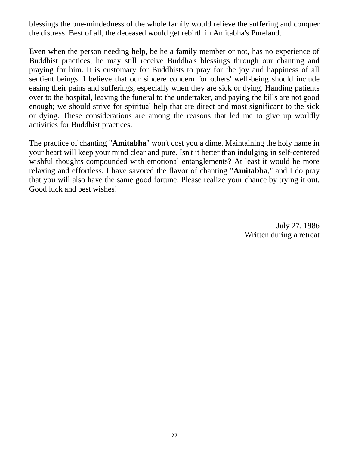blessings the one-mindedness of the whole family would relieve the suffering and conquer the distress. Best of all, the deceased would get rebirth in Amitabha's Pureland.

Even when the person needing help, be he a family member or not, has no experience of Buddhist practices, he may still receive Buddha's blessings through our chanting and praying for him. It is customary for Buddhists to pray for the joy and happiness of all sentient beings. I believe that our sincere concern for others' well-being should include easing their pains and sufferings, especially when they are sick or dying. Handing patients over to the hospital, leaving the funeral to the undertaker, and paying the bills are not good enough; we should strive for spiritual help that are direct and most significant to the sick or dying. These considerations are among the reasons that led me to give up worldly activities for Buddhist practices.

The practice of chanting "**Amitabha**" won't cost you a dime. Maintaining the holy name in your heart will keep your mind clear and pure. Isn't it better than indulging in self-centered wishful thoughts compounded with emotional entanglements? At least it would be more relaxing and effortless. I have savored the flavor of chanting "**Amitabha**," and I do pray that you will also have the same good fortune. Please realize your chance by trying it out. Good luck and best wishes!

> July 27, 1986 Written during a retreat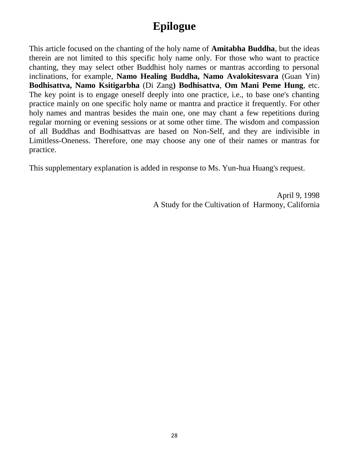## **Epilogue**

This article focused on the chanting of the holy name of **Amitabha Buddha**, but the ideas therein are not limited to this specific holy name only. For those who want to practice chanting, they may select other Buddhist holy names or mantras according to personal inclinations, for example, **Namo Healing Buddha, Namo Avalokitesvara** (Guan Yin) **Bodhisattva, Namo Ksitigarbha** (Di Zang**) Bodhisattva**, **Om Mani Peme Hung**, etc. The key point is to engage oneself deeply into one practice, i.e., to base one's chanting practice mainly on one specific holy name or mantra and practice it frequently. For other holy names and mantras besides the main one, one may chant a few repetitions during regular morning or evening sessions or at some other time. The wisdom and compassion of all Buddhas and Bodhisattvas are based on Non-Self, and they are indivisible in Limitless-Oneness. Therefore, one may choose any one of their names or mantras for practice.

This supplementary explanation is added in response to Ms. Yun-hua Huang's request.

April 9, 1998 A Study for the Cultivation of Harmony, California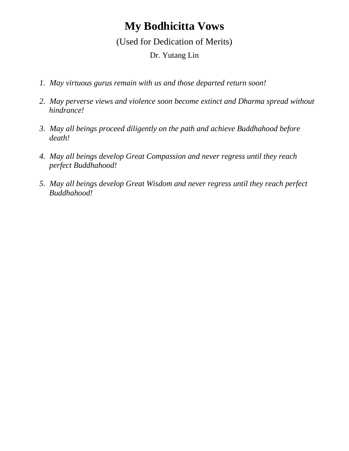## **My Bodhicitta Vows**

(Used for Dedication of Merits)

Dr. Yutang Lin

- *1. May virtuous gurus remain with us and those departed return soon!*
- *2. May perverse views and violence soon become extinct and Dharma spread without hindrance!*
- *3. May all beings proceed diligently on the path and achieve Buddhahood before death!*
- *4. May all beings develop Great Compassion and never regress until they reach perfect Buddhahood!*
- *5. May all beings develop Great Wisdom and never regress until they reach perfect Buddhahood!*